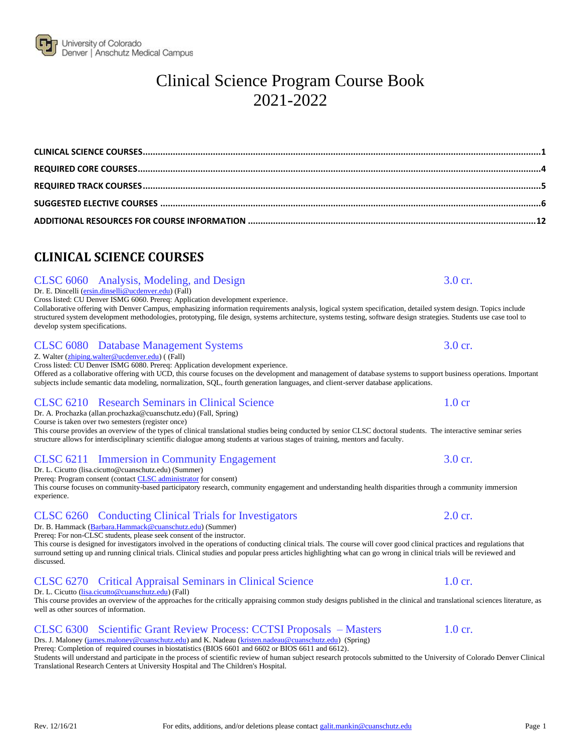# <span id="page-0-0"></span>**CLINICAL SCIENCE COURSES**

# CLSC 6060 Analysis, Modeling, and Design 3.0 cr.

### Dr. E. Dincelli (ersin.dinselli@ucdenver.edu) (Fall)

Cross listed: CU Denver ISMG 6060. Prereq: Application development experience.

Collaborative offering with Denver Campus, emphasizing information requirements analysis, logical system specification, detailed system design. Topics include structured system development methodologies, prototyping, file design, systems architecture, systems testing, software design strategies. Students use case tool to develop system specifications.

### CLSC 6080 Database Management Systems 3.0 cr.

Z. Walter [\(zhiping.walter@ucdenver.edu\)](mailto:zhiping.walter@ucdenver.edu) ( (Fall)

Cross listed: CU Denver ISMG 6080. Prereq: Application development experience. Offered as a collaborative offering with UCD, this course focuses on the development and management of database systems to support business operations. Important

subjects include semantic data modeling, normalization, SQL, fourth generation languages, and client-server database applications.

# CLSC 6210 Research Seminars in Clinical Science 1.0 cr

Dr. A. Prochazka (allan.prochazka@cuanschutz.edu) (Fall, Spring)

Course is taken over two semesters (register once)

This course provides an overview of the types of clinical translational studies being conducted by senior CLSC doctoral students. The interactive seminar series structure allows for interdisciplinary scientific dialogue among students at various stages of training, mentors and faculty.

# CLSC 6211 Immersion in Community Engagement 3.0 cr.

Dr. L. Cicutto (lisa.cicutto@cuanschutz.edu) (Summer)

Prereq: Program consent (contact [CLSC administrator](mailto:galit.mankin@cuanschutz.edu) for consent)

This course focuses on community-based participatory research, community engagement and understanding health disparities through a community immersion experience.

# CLSC 6260 Conducting Clinical Trials for Investigators 2.0 cr.

Dr. B. Hammack [\(Barbara.Hammack@cuanschutz.edu\)](mailto:Barbara.Hammack@ucdenver.edu) (Summer) Prereq: For non-CLSC students, please seek consent of the instructor.

This course is designed for investigators involved in the operations of conducting clinical trials. The course will cover good clinical practices and regulations that surround setting up and running clinical trials. Clinical studies and popular press articles highlighting what can go wrong in clinical trials will be reviewed and discussed.

### CLSC 6270 Critical Appraisal Seminars in Clinical Science 1.0 cr. Dr. L. Cicutto [\(lisa.cicutto@cuanschutz.edu\)](mailto:cicuttol@njhealth.org) (Fall)

This course provides an overview of the approaches for the critically appraising common study designs published in the clinical and translational sciences literature, as well as other sources of information.

# CLSC 6300 Scientific Grant Review Process: CCTSI Proposals – Masters 1.0 cr.

Drs. J. Maloney [\(james.maloney@cuanschutz.edu\)](mailto:james.maloney@cuanschutz.edu) and K. Nadeau [\(kristen.nadeau@cuanschutz.edu\)](mailto:kristen.nadeau@ucdenver.edu) (Spring) Prereq: Completion of required courses in biostatistics (BIOS 6601 and 6602 or BIOS 6611 and 6612).

Students will understand and participate in the process of scientific review of human subject research protocols submitted to the University of Colorado Denver Clinical Translational Research Centers at University Hospital and The Children's Hospital.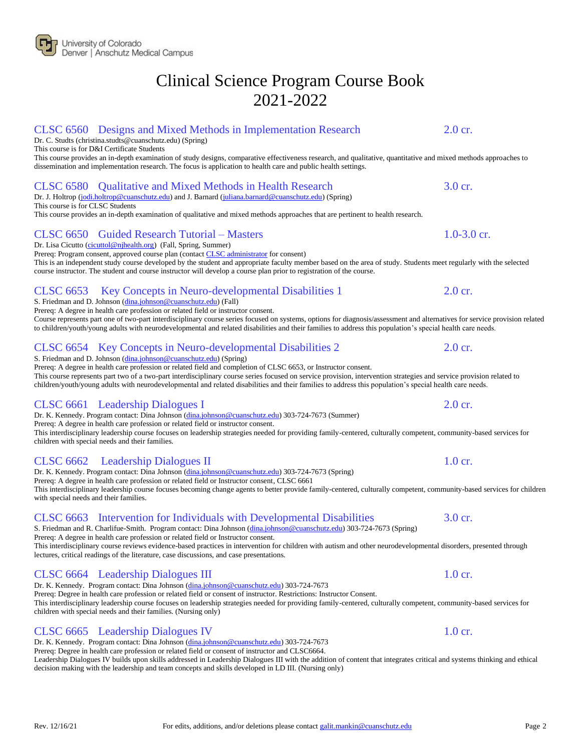# CLSC 6560 Designs and Mixed Methods in Implementation Research 2.0 cr.

Dr. C. Studts (christina.studts@cuanschutz.edu) (Spring)

This course is for D&I Certificate Students

This course provides an in-depth examination of study designs, comparative effectiveness research, and qualitative, quantitative and mixed methods approaches to dissemination and implementation research. The focus is application to health care and public health settings.

# CLSC 6580 Qualitative and Mixed Methods in Health Research 3.0 cr.

Dr. J. Holtrop [\(jodi.holtrop@cuanschutz.edu\)](mailto:jodi.holtrop@cuanschutz.edu) and J. Barnard [\(juliana.barnard@cuanschutz.edu\)](mailto:juliana.barnard@cuanschutz.edu) (Spring) This course is for CLSC Students

This course provides an in-depth examination of qualitative and mixed methods approaches that are pertinent to health research.

# CLSC 6650 Guided Research Tutorial – Masters 1.0-3.0 cr.

Dr. Lisa Cicutto [\(cicuttol@njhealth.org\)](mailto:cicuttol@njhealth.org) (Fall, Spring, Summer)

Prereq: Program consent, approved course plan (contact **CLSC** administrator for consent) This is an independent study course developed by the student and appropriate faculty member based on the area of study. Students meet regularly with the selected course instructor. The student and course instructor will develop a course plan prior to registration of the course.

# CLSC 6653 Key Concepts in Neuro-developmental Disabilities 1 2.0 cr.

S. Friedman and D. Johnson [\(dina.johnson@cuanschutz.edu\)](mailto:dina.johnson@cuanschutz.edu) (Fall)

Prereq: A degree in health care profession or related field or instructor consent.

Course represents part one of two-part interdisciplinary course series focused on systems, options for diagnosis/assessment and alternatives for service provision related to children/youth/young adults with neurodevelopmental and related disabilities and their families to address this population's special health care needs.

# CLSC 6654 Key Concepts in Neuro-developmental Disabilities 2 2.0 cr.

S. Friedman and D. Johnson [\(dina.johnson@cuanschutz.edu\)](mailto:dina.johnson@cuanschutz.edu) (Spring)

Prereq: A degree in health care profession or related field and completion of CLSC 6653, or Instructor consent. This course represents part two of a two-part interdisciplinary course series focused on service provision, intervention strategies and service provision related to children/youth/young adults with neurodevelopmental and related disabilities and their families to address this population's special health care needs.

# CLSC 6661 Leadership Dialogues I 2.0 cr.

Dr. K. Kennedy. Program contact: Dina Johnson [\(dina.johnson@cuanschutz.edu\)](mailto:dina.johnson@cuanschutz.edu) 303-724-7673 (Summer)

Prereq: A degree in health care profession or related field or instructor consent.

This interdisciplinary leadership course focuses on leadership strategies needed for providing family-centered, culturally competent, community-based services for children with special needs and their families.

# CLSC 6662 Leadership Dialogues II 1.0 cr.

Dr. K. Kennedy. Program contact: Dina Johnson [\(dina.johnson@cuanschutz.edu\)](mailto:dina.johnson@cuanschutz.edu) 303-724-7673 (Spring) Prereq: A degree in health care profession or related field or Instructor consent, CLSC 6661 This interdisciplinary leadership course focuses becoming change agents to better provide family-centered, culturally competent, community-based services for children with special needs and their families.

# CLSC 6663 Intervention for Individuals with Developmental Disabilities 3.0 cr.

S. Friedman and R. Charlifue-Smith. Program contact: Dina Johnson [\(dina.johnson@cuanschutz.edu\)](mailto:dina.johnson@cuanschutz.edu) 303-724-7673 (Spring) Prereq: A degree in health care profession or related field or Instructor consent. This interdisciplinary course reviews evidence-based practices in intervention for children with autism and other neurodevelopmental disorders, presented through lectures, critical readings of the literature, case discussions, and case presentations.

# CLSC 6664 Leadership Dialogues III 1.0 cr.

Dr. K. Kennedy. Program contact: Dina Johnson [\(dina.johnson@cuanschutz.edu\)](mailto:dina.johnson@cuanschutz.edu) 303-724-7673 Prereq: Degree in health care profession or related field or consent of instructor. Restrictions: Instructor Consent.

### This interdisciplinary leadership course focuses on leadership strategies needed for providing family-centered, culturally competent, community-based services for children with special needs and their families. (Nursing only)

# CLSC 6665 Leadership Dialogues IV 1.0 cr.

Dr. K. Kennedy. Program contact: Dina Johnson [\(dina.johnson@cuanschutz.edu\)](mailto:dina.johnson@cuanschutz.edu) 303-724-7673

Prereq: Degree in health care profession or related field or consent of instructor and CLSC6664.

Leadership Dialogues IV builds upon skills addressed in Leadership Dialogues III with the addition of content that integrates critical and systems thinking and ethical decision making with the leadership and team concepts and skills developed in LD III. (Nursing only)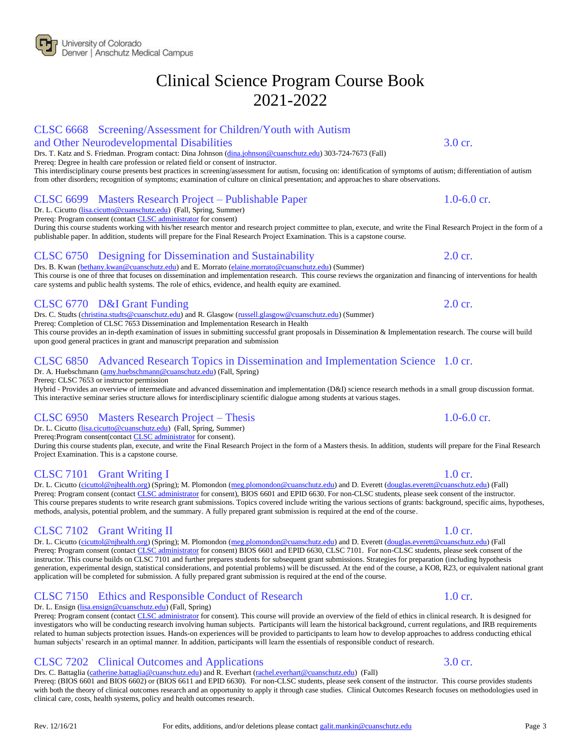### CLSC 6668 Screening/Assessment for Children/Youth with Autism

### and Other Neurodevelopmental Disabilities 3.0 cr.

Drs. T. Katz and S. Friedman. Program contact: Dina Johnson [\(dina.johnson@cuanschutz.edu\)](mailto:dina.johnson@cuanschutz.edu) 303-724-7673 (Fall)

Prereq: Degree in health care profession or related field or consent of instructor.

This interdisciplinary course presents best practices in screening/assessment for autism, focusing on: identification of symptoms of autism; differentiation of autism from other disorders; recognition of symptoms; examination of culture on clinical presentation; and approaches to share observations.

### CLSC 6699 Masters Research Project – Publishable Paper 1.0-6.0 cr.

Dr. L. Cicutto [\(lisa.cicutto@cuanschutz.edu\)](mailto:cicuttol@njhealth.org) (Fall, Spring, Summer) Prereq: Program consent (contact [CLSC administrator](mailto:galit.mankin@cuanschutz.edu) for consent)

During this course students working with his/her research mentor and research project committee to plan, execute, and write the Final Research Project in the form of a publishable paper. In addition, students will prepare for the Final Research Project Examination. This is a capstone course.

# CLSC 6750 Designing for Dissemination and Sustainability 2.0 cr.

Drs. B. Kwan [\(bethany.kwan@cuanschutz.edu\)](mailto:bethany.kwan@cuanschutz.edu) and E. Morrato [\(elaine.morrato@cuanschutz.edu\)](mailto:elaine.morrato@cuanschutz.edu) (Summer) This course is one of three that focuses on dissemination and implementation research. This course reviews the organization and financing of interventions for health care systems and public health systems. The role of ethics, evidence, and health equity are examined.

### CLSC 6770 D&I Grant Funding 2.0 cr.

Drs. C. Studts [\(christina.studts@cuanschutz.edu\)](mailto:christina.studts@cuanschutz.edu) and R. Glasgow [\(russell.glasgow@cuanschutz.edu\)](mailto:russell.glasgow@cuanschutz.edu) (Summer)

Prereq: Completion of CLSC 7653 Dissemination and Implementation Research in Health

This course provides an in-depth examination of issues in submitting successful grant proposals in Dissemination & Implementation research. The course will build upon good general practices in grant and manuscript preparation and submission

### CLSC 6850 Advanced Research Topics in Dissemination and Implementation Science 1.0 cr. Dr. A. Huebschmann [\(amy.huebschmann@cuanschutz.edu\)](mailto:amy.huebschmann@cuanschutz.edu) (Fall, Spring)

Prereq: CLSC 7653 or instructor permission

Hybrid - Provides an overview of intermediate and advanced dissemination and implementation (D&I) science research methods in a small group discussion format. This interactive seminar series structure allows for interdisciplinary scientific dialogue among students at various stages.

# CLSC 6950 Masters Research Project – Thesis 1.0-6.0 cr.

Dr. L. Cicutto [\(lisa.cicutto@cuanschutz.edu\)](mailto:cicuttol@njhealth.org) (Fall, Spring, Summer)

Prereq:Program consent(contact [CLSC administrator](mailto:galit.mankin@cuanschutz.edu) for consent).

During this course students plan, execute, and write the Final Research Project in the form of a Masters thesis. In addition, students will prepare for the Final Research Project Examination. This is a capstone course.

### CLSC 7101 Grant Writing I 1.0 cr.

Dr. L. Cicutto [\(cicuttol@njhealth.org\)](mailto:cicuttol@njhealth.org) (Spring); M. Plomondon [\(meg.plomondon@cuanschutz.edu\)](mailto:meg.plomondon@cuanschutz.edu) and D. Everett [\(douglas.everett@cuanschutz.edu\)](mailto:douglas.everett@cuanschutz.edu) (Fall) Prereq: Program consent (contact [CLSC administrator](mailto:galit.mankin@cuanschutz.edu) for consent), BIOS 6601 and EPID 6630. For non-CLSC students, please seek consent of the instructor. This course prepares students to write research grant submissions. Topics covered include writing the various sections of grants: background, specific aims, hypotheses, methods, analysis, potential problem, and the summary. A fully prepared grant submission is required at the end of the course.

### CLSC 7102 Grant Writing II 1.0 cr.

Dr. L. Cicutto [\(cicuttol@njhealth.org\)](mailto:cicuttol@njhealth.org) (Spring); M. Plomondon [\(meg.plomondon@cuanschutz.edu\)](mailto:meg.plomondon@cuanschutz.edu) and D. Everett [\(douglas.everett@cuanschutz.edu\)](mailto:douglas.everett@cuanschutz.edu) (Fall Prereq: Program consent (contact [CLSC administrator](mailto:galit.mankin@cuanschutz.edu) for consent) BIOS 6601 and EPID 6630, CLSC 7101. For non-CLSC students, please seek consent of the instructor. This course builds on CLSC 7101 and further prepares students for subsequent grant submissions. Strategies for preparation (including hypothesis generation, experimental design, statistical considerations, and potential problems) will be discussed. At the end of the course, a KO8, R23, or equivalent national grant application will be completed for submission. A fully prepared grant submission is required at the end of the course.

### CLSC 7150 Ethics and Responsible Conduct of Research 1.0 cr.

### Dr. L. Ensign (*lisa.ensign@cuanschutz.edu*) (Fall, Spring)

Prereq: Program consent (contact [CLSC administrator](mailto:galit.mankin@cuanschutz.edu) for consent). This course will provide an overview of the field of ethics in clinical research. It is designed for investigators who will be conducting research involving human subjects. Participants will learn the historical background, current regulations, and IRB requirements related to human subjects protection issues. Hands-on experiences will be provided to participants to learn how to develop approaches to address conducting ethical human subjects' research in an optimal manner. In addition, participants will learn the essentials of responsible conduct of research.

### CLSC 7202 Clinical Outcomes and Applications 3.0 cr.

Drs. C. Battaglia [\(catherine.battaglia@cuanschutz.edu\)](mailto:catherine.battaglia@cuanschutz.edu) and R. Everhart [\(rachel.everhart@cuanschutz.edu\)](mailto:rachel.everhart@cuanschutz.edu) (Fall) Prereq: (BIOS 6601 and BIOS 6602) or (BIOS 6611 and EPID 6630). For non-CLSC students, please seek consent of the instructor. This course provides students with both the theory of clinical outcomes research and an opportunity to apply it through case studies. Clinical Outcomes Research focuses on methodologies used in clinical care, costs, health systems, policy and health outcomes research.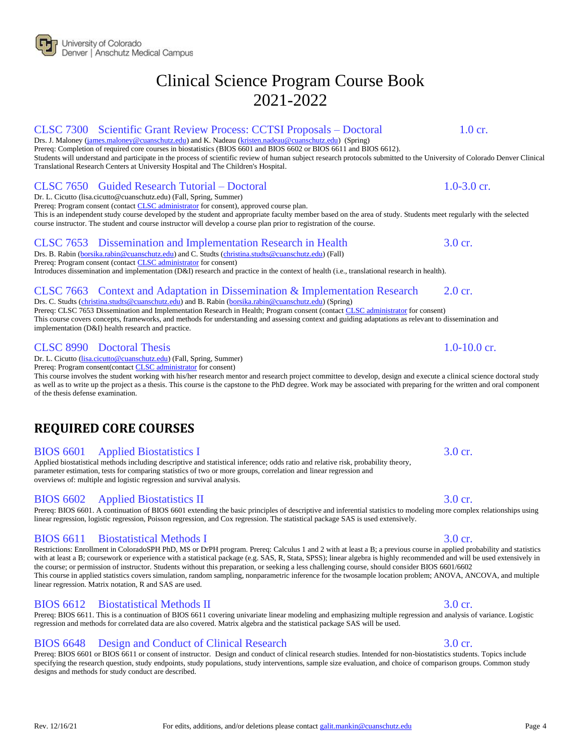# CLSC 7300 Scientific Grant Review Process: CCTSI Proposals – Doctoral 1.0 cr.

Drs. J. Maloney [\(james.maloney@cuanschutz.edu\)](mailto:james.maloney@cuanschutz.edu) and K. Nadeau [\(kristen.nadeau@cuanschutz.edu\)](mailto:kristen.nadeau@ucdenver.edu) (Spring) Prereq: Completion of required core courses in biostatistics (BIOS 6601 and BIOS 6602 or BIOS 6611 and BIOS 6612).

Students will understand and participate in the process of scientific review of human subject research protocols submitted to the University of Colorado Denver Clinical Translational Research Centers at University Hospital and The Children's Hospital.

# CLSC 7650 Guided Research Tutorial – Doctoral 1.0-3.0 cr.

Dr. L. Cicutto (lisa.cicutto@cuanschutz.edu) (Fall, Spring, Summer) Prereq: Program consent (contact **CLSC** administrator for consent), approved course plan. This is an independent study course developed by the student and appropriate faculty member based on the area of study. Students meet regularly with the selected course instructor. The student and course instructor will develop a course plan prior to registration of the course.

# CLSC 7653 Dissemination and Implementation Research in Health 3.0 cr.

Drs. B. Rabin [\(borsika.rabin@cuanschutz.edu\)](mailto:borsika.rabin@cuanschutz.edu) and C. Studts [\(christina.studts@cuanschutz.edu\)](mailto:christina.studts@cuanschutz.edu) (Fall) Prereq: Program consent (contact [CLSC administrator](mailto:galit.mankin@cuanschutz.edu) for consent)

Introduces dissemination and implementation (D&I) research and practice in the context of health (i.e., translational research in health).

# CLSC 7663 Context and Adaptation in Dissemination & Implementation Research 2.0 cr.

Drs. C. Studts [\(christina.studts@cuanschutz.edu\)](mailto:christina.studts@cuanschutz.edu) and B. Rabin [\(borsika.rabin@cuanschutz.edu\)](mailto:borsika.rabin@cuanschutz.edu) (Spring) Prereq: CLSC 7653 Dissemination and Implementation Research in Health; Program consent (contac[t CLSC administrator](mailto:galit.mankin@cuanschutz.edu) for consent) This course covers concepts, frameworks, and methods for understanding and assessing context and guiding adaptations as relevant to dissemination and implementation (D&I) health research and practice.

### CLSC 8990 Doctoral Thesis 1.0-10.0 cr.

Dr. L. Cicutto [\(lisa.cicutto@cuanschutz.edu\)](mailto:lisa.cicutto@cuanschutz.edu) (Fall, Spring, Summer)

Prereq: Program consent(contact **CLSC** administrator for consent)

This course involves the student working with his/her research mentor and research project committee to develop, design and execute a clinical science doctoral study as well as to write up the project as a thesis. This course is the capstone to the PhD degree. Work may be associated with preparing for the written and oral component of the thesis defense examination.

# <span id="page-3-0"></span>**REQUIRED CORE COURSES**

### BIOS 6601 Applied Biostatistics I 3.0 cr.

Applied biostatistical methods including descriptive and statistical inference; odds ratio and relative risk, probability theory, parameter estimation, tests for comparing statistics of two or more groups, correlation and linear regression and overviews of: multiple and logistic regression and survival analysis.

### BIOS 6602 Applied Biostatistics II 3.0 cr.

### Prereq: BIOS 6601. A continuation of BIOS 6601 extending the basic principles of descriptive and inferential statistics to modeling more complex relationships using linear regression, logistic regression, Poisson regression, and Cox regression. The statistical package SAS is used extensively.

### BIOS 6611 Biostatistical Methods I 3.0 cr.

Restrictions: Enrollment in ColoradoSPH PhD, MS or DrPH program. Prereq: Calculus 1 and 2 with at least a B; a previous course in applied probability and statistics with at least a B; coursework or experience with a statistical package (e.g. SAS, R, Stata, SPSS); linear algebra is highly recommended and will be used extensively in the course; or permission of instructor. Students without this preparation, or seeking a less challenging course, should consider BIOS 6601/6602 This course in applied statistics covers simulation, random sampling, nonparametric inference for the twosample location problem; ANOVA, ANCOVA, and multiple linear regression. Matrix notation, R and SAS are used.

### BIOS 6612 Biostatistical Methods II 3.0 cr.

Prereq: BIOS 6611. This is a continuation of BIOS 6611 covering univariate linear modeling and emphasizing multiple regression and analysis of variance. Logistic regression and methods for correlated data are also covered. Matrix algebra and the statistical package SAS will be used.

### BIOS 6648 Design and Conduct of Clinical Research 3.0 cr.

Prereq: BIOS 6601 or BIOS 6611 or consent of instructor. Design and conduct of clinical research studies. Intended for non-biostatistics students. Topics include specifying the research question, study endpoints, study populations, study interventions, sample size evaluation, and choice of comparison groups. Common study designs and methods for study conduct are described.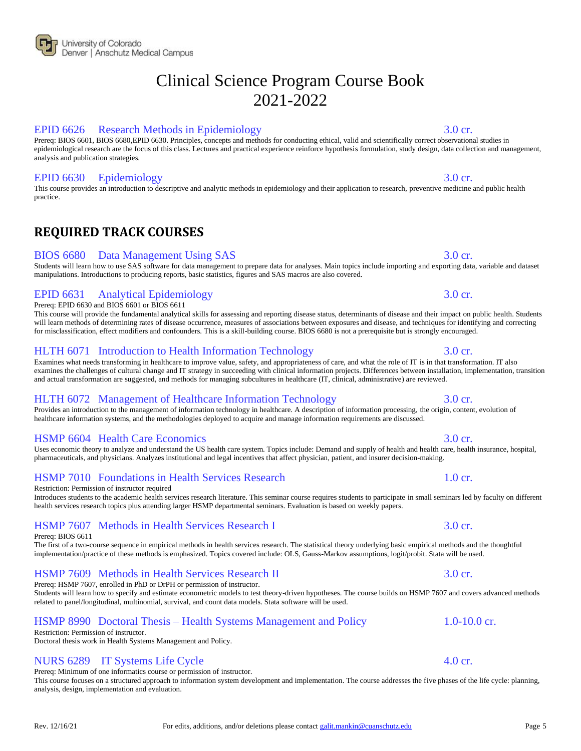# EPID 6626 Research Methods in Epidemiology 3.0 cr.

Prereq: BIOS 6601, BIOS 6680,EPID 6630. Principles, concepts and methods for conducting ethical, valid and scientifically correct observational studies in epidemiological research are the focus of this class. Lectures and practical experience reinforce hypothesis formulation, study design, data collection and management, analysis and publication strategies.

# EPID 6630 Epidemiology 3.0 cr.

<span id="page-4-0"></span>This course provides an introduction to descriptive and analytic methods in epidemiology and their application to research, preventive medicine and public health practice.

# **REQUIRED TRACK COURSES**

# BIOS 6680 Data Management Using SAS 3.0 cr.

### Students will learn how to use SAS software for data management to prepare data for analyses. Main topics include importing and exporting data, variable and dataset manipulations. Introductions to producing reports, basic statistics, figures and SAS macros are also covered.

### EPID 6631 Analytical Epidemiology 3.0 cr. Prereq: EPID 6630 and BIOS 6601 or BIOS 6611

This course will provide the fundamental analytical skills for assessing and reporting disease status, determinants of disease and their impact on public health. Students will learn methods of determining rates of disease occurrence, measures of associations between exposures and disease, and techniques for identifying and correcting for misclassification, effect modifiers and confounders. This is a skill-building course. BIOS 6680 is not a prerequisite but is strongly encouraged.

# HLTH 6071 Introduction to Health Information Technology 3.0 cr.

Examines what needs transforming in healthcare to improve value, safety, and appropriateness of care, and what the role of IT is in that transformation. IT also examines the challenges of cultural change and IT strategy in succeeding with clinical information projects. Differences between installation, implementation, transition and actual transformation are suggested, and methods for managing subcultures in healthcare (IT, clinical, administrative) are reviewed.

# HLTH 6072 Management of Healthcare Information Technology 3.0 cr.

Provides an introduction to the management of information technology in healthcare. A description of information processing, the origin, content, evolution of healthcare information systems, and the methodologies deployed to acquire and manage information requirements are discussed.

# HSMP 6604 Health Care Economics 3.0 cr.

Uses economic theory to analyze and understand the US health care system. Topics include: Demand and supply of health and health care, health insurance, hospital, pharmaceuticals, and physicians. Analyzes institutional and legal incentives that affect physician, patient, and insurer decision-making.

# HSMP 7010 Foundations in Health Services Research 1.0 cr.

Restriction: Permission of instructor required

Introduces students to the academic health services research literature. This seminar course requires students to participate in small seminars led by faculty on different health services research topics plus attending larger HSMP departmental seminars. Evaluation is based on weekly papers.

# HSMP 7607 Methods in Health Services Research I 3.0 cr.

Prereq: BIOS 6611

The first of a two-course sequence in empirical methods in health services research. The statistical theory underlying basic empirical methods and the thoughtful implementation/practice of these methods is emphasized. Topics covered include: OLS, Gauss-Markov assumptions, logit/probit. Stata will be used.

# HSMP 7609 Methods in Health Services Research II 3.0 cr.

Prereq: HSMP 7607, enrolled in PhD or DrPH or permission of instructor.

Students will learn how to specify and estimate econometric models to test theory-driven hypotheses. The course builds on HSMP 7607 and covers advanced methods related to panel/longitudinal, multinomial, survival, and count data models. Stata software will be used.

# HSMP 8990 Doctoral Thesis – Health Systems Management and Policy 1.0-10.0 cr.

Restriction: Permission of instructor. Doctoral thesis work in Health Systems Management and Policy.

# NURS 6289 IT Systems Life Cycle 4.0 cr.

Prereq: Minimum of one informatics course or permission of instructor.

This course focuses on a structured approach to information system development and implementation. The course addresses the five phases of the life cycle: planning, analysis, design, implementation and evaluation.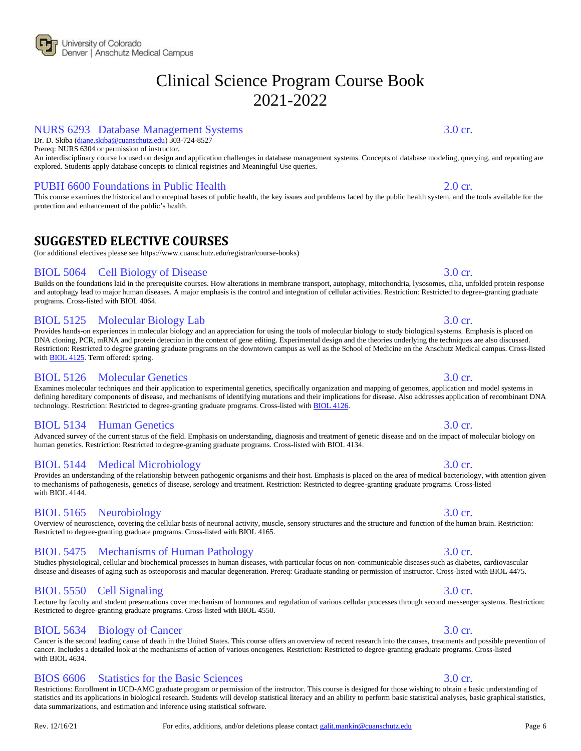### NURS 6293 Database Management Systems 3.0 cr.

Dr. D. Skiba [\(diane.skiba@cuanschutz.edu\)](mailto:diane.skiba@cuanschutz.edu) 303-724-8527

Prereq: NURS 6304 or permission of instructor.

An interdisciplinary course focused on design and application challenges in database management systems. Concepts of database modeling, querying, and reporting are explored. Students apply database concepts to clinical registries and Meaningful Use queries.

### PUBH 6600 Foundations in Public Health 2.0 cr.

<span id="page-5-0"></span>This course examines the historical and conceptual bases of public health, the key issues and problems faced by the public health system, and the tools available for the protection and enhancement of the public's health.

# **SUGGESTED ELECTIVE COURSES**

(for additional electives please see https://www.cuanschutz.edu/registrar/course-books)

### BIOL 5064 Cell Biology of Disease 3.0 cr.

Builds on the foundations laid in the prerequisite courses. How alterations in membrane transport, autophagy, mitochondria, lysosomes, cilia, unfolded protein response and autophagy lead to major human diseases. A major emphasis is the control and integration of cellular activities. Restriction: Restricted to degree-granting graduate programs. Cross-listed with BIOL 4064.

# BIOL 5125 Molecular Biology Lab 3.0 cr.

Provides hands-on experiences in molecular biology and an appreciation for using the tools of molecular biology to study biological systems. Emphasis is placed on DNA cloning, PCR, mRNA and protein detection in the context of gene editing. Experimental design and the theories underlying the techniques are also discussed. Restriction: Restricted to degree granting graduate programs on the downtown campus as well as the School of Medicine on the Anschutz Medical campus. Cross-listed with **BIOL 4125**. Term offered: spring.

### BIOL 5126 Molecular Genetics 3.0 cr.

Examines molecular techniques and their application to experimental genetics, specifically organization and mapping of genomes, application and model systems in defining hereditary components of disease, and mechanisms of identifying mutations and their implications for disease. Also addresses application of recombinant DNA technology. Restriction: Restricted to degree-granting graduate programs. Cross-listed with **BIOL 4126**.

### BIOL 5134 Human Genetics 3.0 cr.

Advanced survey of the current status of the field. Emphasis on understanding, diagnosis and treatment of genetic disease and on the impact of molecular biology on human genetics. Restriction: Restricted to degree-granting graduate programs. Cross-listed with BIOL 4134.

### BIOL 5144 Medical Microbiology 3.0 cr.

Provides an understanding of the relationship between pathogenic organisms and their host. Emphasis is placed on the area of medical bacteriology, with attention given to mechanisms of pathogenesis, genetics of disease, serology and treatment. Restriction: Restricted to degree-granting graduate programs. Cross-listed with BIOL 4144.

### BIOL 5165 Neurobiology 3.0 cr.

# BIOL 5475 Mechanisms of Human Pathology 3.0 cr.

Restricted to degree-granting graduate programs. Cross-listed with BIOL 4165.

Restricted to degree-granting graduate programs. Cross-listed with BIOL 4550.

Studies physiological, cellular and biochemical processes in human diseases, with particular focus on non-communicable diseases such as diabetes, cardiovascular disease and diseases of aging such as osteoporosis and macular degeneration. Prereq: Graduate standing or permission of instructor. Cross-listed with BIOL 4475.

Overview of neuroscience, covering the cellular basis of neuronal activity, muscle, sensory structures and the structure and function of the human brain. Restriction:

### BIOL 5550 Cell Signaling 3.0 cr. Lecture by faculty and student presentations cover mechanism of hormones and regulation of various cellular processes through second messenger systems. Restriction:

# BIOL 5634 Biology of Cancer 3.0 cr.

Cancer is the second leading cause of death in the United States. This course offers an overview of recent research into the causes, treatments and possible prevention of cancer. Includes a detailed look at the mechanisms of action of various oncogenes. Restriction: Restricted to degree-granting graduate programs. Cross-listed with BIOL 4634.

### BIOS 6606 Statistics for the Basic Sciences 3.0 cr.

Restrictions: Enrollment in UCD-AMC graduate program or permission of the instructor. This course is designed for those wishing to obtain a basic understanding of statistics and its applications in biological research. Students will develop statistical literacy and an ability to perform basic statistical analyses, basic graphical statistics, data summarizations, and estimation and inference using statistical software.

### Rev. 12/16/21 For edits, additions, and/or deletions please contac[t galit.mankin@cuanschutz.edu](mailto:galit.mankin@ucdenver.edu) Page 6

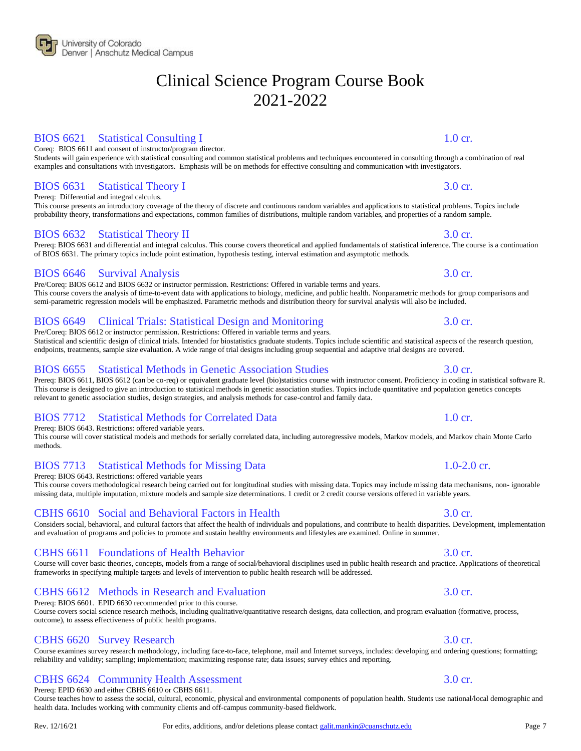### BIOS 6621 Statistical Consulting I 1.0 cr.

Coreq: BIOS 6611 and consent of instructor/program director. Students will gain experience with statistical consulting and common statistical problems and techniques encountered in consulting through a combination of real

# BIOS 6631 Statistical Theory I 3.0 cr.

Prereq: Differential and integral calculus.

This course presents an introductory coverage of the theory of discrete and continuous random variables and applications to statistical problems. Topics include probability theory, transformations and expectations, common families of distributions, multiple random variables, and properties of a random sample.

examples and consultations with investigators. Emphasis will be on methods for effective consulting and communication with investigators.

### BIOS 6632 Statistical Theory II 3.0 cr.

Prereq: BIOS 6631 and differential and integral calculus. This course covers theoretical and applied fundamentals of statistical inference. The course is a continuation of BIOS 6631. The primary topics include point estimation, hypothesis testing, interval estimation and asymptotic methods.

# BIOS 6646 Survival Analysis 3.0 cr.

Pre/Coreq: BIOS 6612 and BIOS 6632 or instructor permission. Restrictions: Offered in variable terms and years. This course covers the analysis of time-to-event data with applications to biology, medicine, and public health. Nonparametric methods for group comparisons and semi-parametric regression models will be emphasized. Parametric methods and distribution theory for survival analysis will also be included.

# BIOS 6649 Clinical Trials: Statistical Design and Monitoring 3.0 cr.

Pre/Coreq: BIOS 6612 or instructor permission. Restrictions: Offered in variable terms and years. Statistical and scientific design of clinical trials. Intended for biostatistics graduate students. Topics include scientific and statistical aspects of the research question, endpoints, treatments, sample size evaluation. A wide range of trial designs including group sequential and adaptive trial designs are covered.

# BIOS 6655 Statistical Methods in Genetic Association Studies 3.0 cr.

Prereq: BIOS 6611, BIOS 6612 (can be co-req) or equivalent graduate level (bio)statistics course with instructor consent. Proficiency in coding in statistical software R. This course is designed to give an introduction to statistical methods in genetic association studies. Topics include quantitative and population genetics concepts relevant to genetic association studies, design strategies, and analysis methods for case-control and family data.

# BIOS 7712 Statistical Methods for Correlated Data 1.0 cr.

Prereq: BIOS 6643. Restrictions: offered variable years.

This course will cover statistical models and methods for serially correlated data, including autoregressive models, Markov models, and Markov chain Monte Carlo methods.

# BIOS 7713 Statistical Methods for Missing Data 1.0-2.0 cr.

Prereq: BIOS 6643. Restrictions: offered variable years

This course covers methodological research being carried out for longitudinal studies with missing data. Topics may include missing data mechanisms, non- ignorable missing data, multiple imputation, mixture models and sample size determinations. 1 credit or 2 credit course versions offered in variable years.

### CBHS 6610 Social and Behavioral Factors in Health 3.0 cr.

### Considers social, behavioral, and cultural factors that affect the health of individuals and populations, and contribute to health disparities. Development, implementation and evaluation of programs and policies to promote and sustain healthy environments and lifestyles are examined. Online in summer.

### CBHS 6611 Foundations of Health Behavior 3.0 cr.

Course will cover basic theories, concepts, models from a range of social/behavioral disciplines used in public health research and practice. Applications of theoretical frameworks in specifying multiple targets and levels of intervention to public health research will be addressed.

# CBHS 6612 Methods in Research and Evaluation 3.0 cr.

Prereq: BIOS 6601. EPID 6630 recommended prior to this course. Course covers social science research methods, including qualitative/quantitative research designs, data collection, and program evaluation (formative, process,

### CBHS 6620 Survey Research 3.0 cr. Course examines survey research methodology, including face-to-face, telephone, mail and Internet surveys, includes: developing and ordering questions; formatting; reliability and validity; sampling; implementation; maximizing response rate; data issues; survey ethics and reporting.

# CBHS 6624 Community Health Assessment 3.0 cr.

Prereq: EPID 6630 and either CBHS 6610 or CBHS 6611.

outcome), to assess effectiveness of public health programs.

Course teaches how to assess the social, cultural, economic, physical and environmental components of population health. Students use national/local demographic and health data. Includes working with community clients and off-campus community-based fieldwork.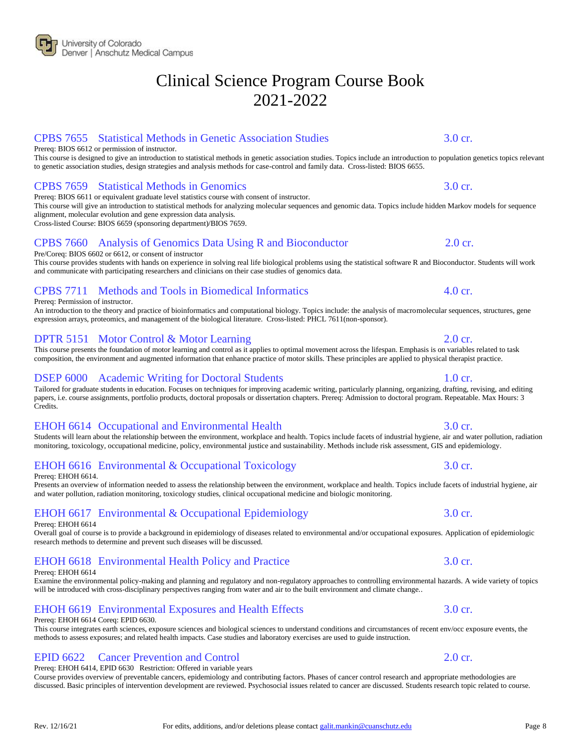# CPBS 7655 Statistical Methods in Genetic Association Studies 3.0 cr.

Prereq: BIOS 6612 or permission of instructor.

This course is designed to give an introduction to statistical methods in genetic association studies. Topics include an introduction to population genetics topics relevant to genetic association studies, design strategies and analysis methods for case-control and family data. Cross-listed: BIOS 6655.

# CPBS 7659 Statistical Methods in Genomics 3.0 cr.

Prereq: BIOS 6611 or equivalent graduate level statistics course with consent of instructor. This course will give an introduction to statistical methods for analyzing molecular sequences and genomic data. Topics include hidden Markov models for sequence alignment, molecular evolution and gene expression data analysis.

Cross-listed Course: BIOS 6659 (sponsoring department)/BIOS 7659.

# CPBS 7660 Analysis of Genomics Data Using R and Bioconductor 2.0 cr.

Pre/Coreq: BIOS 6602 or 6612, or consent of instructor

This course provides students with hands on experience in solving real life biological problems using the statistical software R and Bioconductor. Students will work and communicate with participating researchers and clinicians on their case studies of genomics data.

# CPBS 7711 Methods and Tools in Biomedical Informatics 4.0 cr.

Prereq: Permission of instructor.

An introduction to the theory and practice of bioinformatics and computational biology. Topics include: the analysis of macromolecular sequences, structures, gene expression arrays, proteomics, and management of the biological literature. Cross-listed: PHCL 7611(non-sponsor).

# DPTR 5151 Motor Control & Motor Learning 2.0 cr.

This course presents the foundation of motor learning and control as it applies to optimal movement across the lifespan. Emphasis is on variables related to task composition, the environment and augmented information that enhance practice of motor skills. These principles are applied to physical therapist practice.

# DSEP 6000 Academic Writing for Doctoral Students 1.0 cr.

Tailored for graduate students in education. Focuses on techniques for improving academic writing, particularly planning, organizing, drafting, revising, and editing papers, i.e. course assignments, portfolio products, doctoral proposals or dissertation chapters. Prereq: Admission to doctoral program. Repeatable. Max Hours: 3 Credits.

# EHOH 6614 Occupational and Environmental Health 3.0 cr.

Students will learn about the relationship between the environment, workplace and health. Topics include facets of industrial hygiene, air and water pollution, radiation monitoring, toxicology, occupational medicine, policy, environmental justice and sustainability. Methods include risk assessment, GIS and epidemiology.

# EHOH 6616 Environmental & Occupational Toxicology 3.0 cr.

Prereq: EHOH 6614.

Presents an overview of information needed to assess the relationship between the environment, workplace and health. Topics include facets of industrial hygiene, air and water pollution, radiation monitoring, toxicology studies, clinical occupational medicine and biologic monitoring.

# EHOH 6617 Environmental & Occupational Epidemiology 3.0 cr.

Prereq: EHOH 6614

Overall goal of course is to provide a background in epidemiology of diseases related to environmental and/or occupational exposures. Application of epidemiologic research methods to determine and prevent such diseases will be discussed.

# EHOH 6618 Environmental Health Policy and Practice 3.0 cr.

Prereq: EHOH 6614

Examine the environmental policy-making and planning and regulatory and non-regulatory approaches to controlling environmental hazards. A wide variety of topics will be introduced with cross-disciplinary perspectives ranging from water and air to the built environment and climate change..

### EHOH 6619 Environmental Exposures and Health Effects 3.0 cr.

### Prereq: EHOH 6614 Coreq: EPID 6630.

This course integrates earth sciences, exposure sciences and biological sciences to understand conditions and circumstances of recent env/occ exposure events, the methods to assess exposures; and related health impacts. Case studies and laboratory exercises are used to guide instruction.

# EPID 6622 Cancer Prevention and Control 2.0 cr.

Prereq: EHOH 6414, EPID 6630 Restriction: Offered in variable years Course provides overview of preventable cancers, epidemiology and contributing factors. Phases of cancer control research and appropriate methodologies are discussed. Basic principles of intervention development are reviewed. Psychosocial issues related to cancer are discussed. Students research topic related to course.

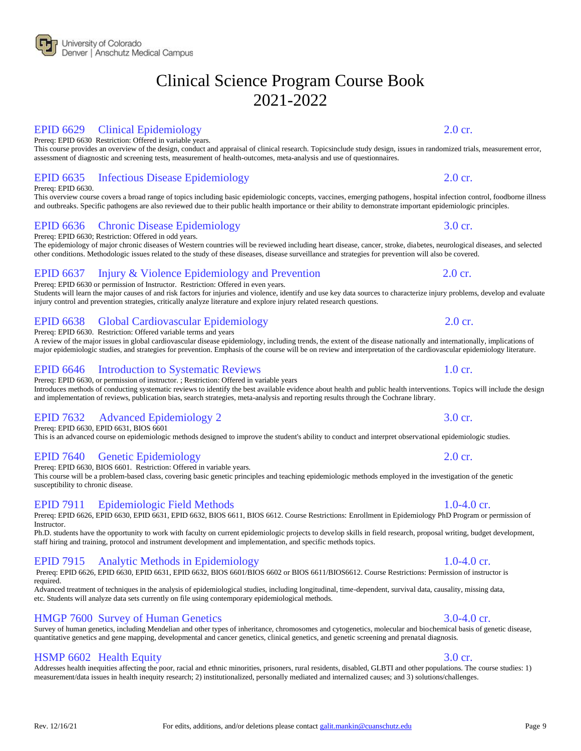# EPID 6629 Clinical Epidemiology 2.0 cr.

Prereq: EPID 6630 Restriction: Offered in variable years.

This course provides an overview of the design, conduct and appraisal of clinical research. Topicsinclude study design, issues in randomized trials, measurement error, assessment of diagnostic and screening tests, measurement of health-outcomes, meta-analysis and use of questionnaires.

# EPID 6635 Infectious Disease Epidemiology 2.0 cr.

Prereq: EPID 6630.

This overview course covers a broad range of topics including basic epidemiologic concepts, vaccines, emerging pathogens, hospital infection control, foodborne illness and outbreaks. Specific pathogens are also reviewed due to their public health importance or their ability to demonstrate important epidemiologic principles.

# EPID 6636 Chronic Disease Epidemiology 3.0 cr.

Prereq: EPID 6630; Restriction: Offered in odd years.

The epidemiology of major chronic diseases of Western countries will be reviewed including heart disease, cancer, stroke, diabetes, neurological diseases, and selected other conditions. Methodologic issues related to the study of these diseases, disease surveillance and strategies for prevention will also be covered.

# EPID 6637 Injury & Violence Epidemiology and Prevention 2.0 cr.

Prereq: EPID 6630 or permission of Instructor. Restriction: Offered in even years. Students will learn the major causes of and risk factors for injuries and violence, identify and use key data sources to characterize injury problems, develop and evaluate injury control and prevention strategies, critically analyze literature and explore injury related research questions.

# EPID 6638 Global Cardiovascular Epidemiology 2.0 cr.

Prereq: EPID 6630. Restriction: Offered variable terms and years

A review of the major issues in global cardiovascular disease epidemiology, including trends, the extent of the disease nationally and internationally, implications of major epidemiologic studies, and strategies for prevention. Emphasis of the course will be on review and interpretation of the cardiovascular epidemiology literature.

### EPID 6646 Introduction to Systematic Reviews 1.0 cr.

Prereq: EPID 6630, or permission of instructor. ; Restriction: Offered in variable years Introduces methods of conducting systematic reviews to identify the best available evidence about health and public health interventions. Topics will include the design and implementation of reviews, publication bias, search strategies, meta-analysis and reporting results through the Cochrane library.

# EPID 7632 Advanced Epidemiology 2 3.0 cr.

Prereq: EPID 6630, EPID 6631, BIOS 6601

This is an advanced course on epidemiologic methods designed to improve the student's ability to conduct and interpret observational epidemiologic studies.

# EPID 7640 Genetic Epidemiology 2.0 cr.

Prereq: EPID 6630, BIOS 6601. Restriction: Offered in variable years.

This course will be a problem-based class, covering basic genetic principles and teaching epidemiologic methods employed in the investigation of the genetic susceptibility to chronic disease.

### EPID 7911 Epidemiologic Field Methods 1.0-4.0 cr.

Prereq: EPID 6626, EPID 6630, EPID 6631, EPID 6632, BIOS 6611, BIOS 6612. Course Restrictions: Enrollment in Epidemiology PhD Program or permission of Instructor.

Ph.D. students have the opportunity to work with faculty on current epidemiologic projects to develop skills in field research, proposal writing, budget development, staff hiring and training, protocol and instrument development and implementation, and specific methods topics.

# EPID 7915 Analytic Methods in Epidemiology 1.0-4.0 cr.

Prereq: EPID 6626, EPID 6630, EPID 6631, EPID 6632, BIOS 6601/BIOS 6602 or BIOS 6611/BIOS6612. Course Restrictions: Permission of instructor is required. Advanced treatment of techniques in the analysis of epidemiological studies, including longitudinal, time-dependent, survival data, causality, missing data,

etc. Students will analyze data sets currently on file using contemporary epidemiological methods.

# HMGP 7600 Survey of Human Genetics 3.0-4.0 cr.

### Survey of human genetics, including Mendelian and other types of inheritance, chromosomes and cytogenetics, molecular and biochemical basis of genetic disease, quantitative genetics and gene mapping, developmental and cancer genetics, clinical genetics, and genetic screening and prenatal diagnosis.

# HSMP 6602 Health Equity 3.0 cr.

Addresses health inequities affecting the poor, racial and ethnic minorities, prisoners, rural residents, disabled, GLBTI and other populations. The course studies: 1) measurement/data issues in health inequity research; 2) institutionalized, personally mediated and internalized causes; and 3) solutions/challenges.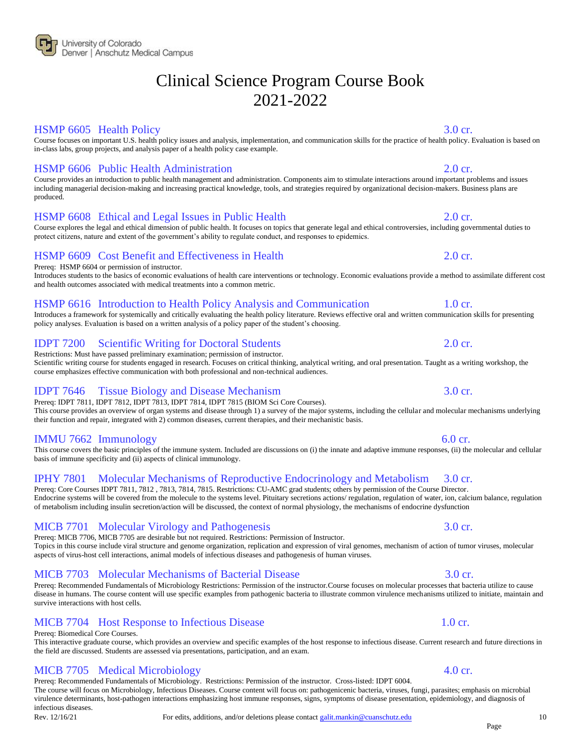

### HSMP 6605 Health Policy 3.0 cr.

Course focuses on important U.S. health policy issues and analysis, implementation, and communication skills for the practice of health policy. Evaluation is based on in-class labs, group projects, and analysis paper of a health policy case example.

### HSMP 6606 Public Health Administration 2.0 cr.

Course provides an introduction to public health management and administration. Components aim to stimulate interactions around important problems and issues including managerial decision-making and increasing practical knowledge, tools, and strategies required by organizational decision-makers. Business plans are produced.

### HSMP 6608 Ethical and Legal Issues in Public Health 2.0 cr.

Course explores the legal and ethical dimension of public health. It focuses on topics that generate legal and ethical controversies, including governmental duties to protect citizens, nature and extent of the government's ability to regulate conduct, and responses to epidemics.

### HSMP 6609 Cost Benefit and Effectiveness in Health 2.0 cr.

Prereq: HSMP 6604 or permission of instructor.

Introduces students to the basics of economic evaluations of health care interventions or technology. Economic evaluations provide a method to assimilate different cost and health outcomes associated with medical treatments into a common metric.

### HSMP 6616 Introduction to Health Policy Analysis and Communication 1.0 cr.

their function and repair, integrated with 2) common diseases, current therapies, and their mechanistic basis.

Introduces a framework for systemically and critically evaluating the health policy literature. Reviews effective oral and written communication skills for presenting policy analyses. Evaluation is based on a written analysis of a policy paper of the student's choosing.

### IDPT 7200 Scientific Writing for Doctoral Students 2.0 cr.

Restrictions: Must have passed preliminary examination; permission of instructor. Scientific writing course for students engaged in research. Focuses on critical thinking, analytical writing, and oral presentation. Taught as a writing workshop, the course emphasizes effective communication with both professional and non-technical audiences.

# IDPT 7646 Tissue Biology and Disease Mechanism 3.0 cr.

Prereq: IDPT 7811, IDPT 7812, IDPT 7813, IDPT 7814, IDPT 7815 (BIOM Sci Core Courses). This course provides an overview of organ systems and disease through 1) a survey of the major systems, including the cellular and molecular mechanisms underlying

### IMMU 7662 Immunology 6.0 cr.

This course covers the basic principles of the immune system. Included are discussions on (i) the innate and adaptive immune responses, (ii) the molecular and cellular basis of immune specificity and (ii) aspects of clinical immunology.

### IPHY 7801 Molecular Mechanisms of Reproductive Endocrinology and Metabolism 3.0 cr.

Prereq: Core Courses IDPT 7811, 7812 , 7813, 7814, 7815. Restrictions: CU-AMC grad students; others by permission of the Course Director. Endocrine systems will be covered from the molecule to the systems level. Pituitary secretions actions/ regulation, regulation of water, ion, calcium balance, regulation of metabolism including insulin secretion/action will be discussed, the context of normal physiology, the mechanisms of endocrine dysfunction

### MICB 7701 Molecular Virology and Pathogenesis 3.0 cr.

Prereq: MICB 7706, MICB 7705 are desirable but not required. Restrictions: Permission of Instructor. Topics in this course include viral structure and genome organization, replication and expression of viral genomes, mechanism of action of tumor viruses, molecular aspects of virus-host cell interactions, animal models of infectious diseases and pathogenesis of human viruses.

### MICB 7703 Molecular Mechanisms of Bacterial Disease 3.0 cr.

Prereq: Recommended Fundamentals of Microbiology Restrictions: Permission of the instructor.Course focuses on molecular processes that bacteria utilize to cause disease in humans. The course content will use specific examples from pathogenic bacteria to illustrate common virulence mechanisms utilized to initiate, maintain and survive interactions with host cells.

### MICB 7704 Host Response to Infectious Disease 1.0 cr.

### Prereq: Biomedical Core Courses.

This interactive graduate course, which provides an overview and specific examples of the host response to infectious disease. Current research and future directions in the field are discussed. Students are assessed via presentations, participation, and an exam.

### MICB 7705 Medical Microbiology 4.0 cr.

Prereq: Recommended Fundamentals of Microbiology. Restrictions: Permission of the instructor. Cross-listed: IDPT 6004. The course will focus on Microbiology, Infectious Diseases. Course content will focus on: pathogenicenic bacteria, viruses, fungi, parasites; emphasis on microbial virulence determinants, host-pathogen interactions emphasizing host immune responses, signs, symptoms of disease presentation, epidemiology, and diagnosis of infectious diseases.

### Page

10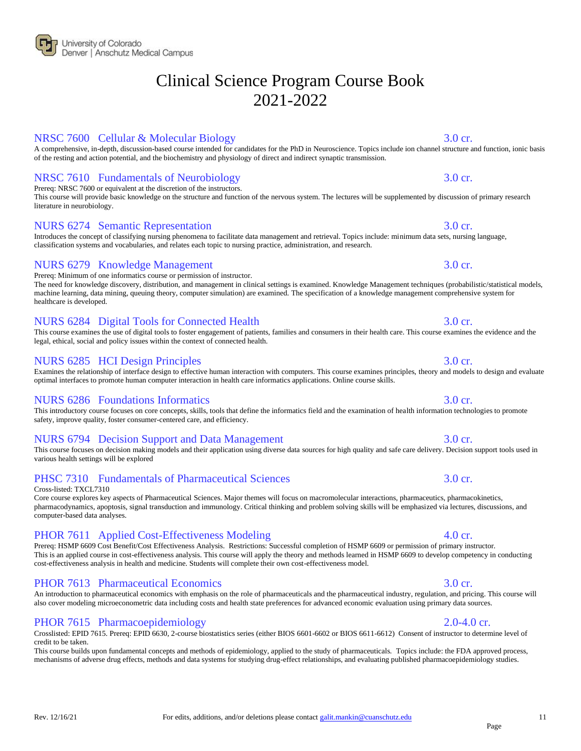### NRSC 7600 Cellular & Molecular Biology 3.0 cr.

A comprehensive, in-depth, discussion-based course intended for candidates for the PhD in Neuroscience. Topics include ion channel structure and function, ionic basis of the resting and action potential, and the biochemistry and physiology of direct and indirect synaptic transmission.

# NRSC 7610 Fundamentals of Neurobiology 3.0 cr.

Prereq: NRSC 7600 or equivalent at the discretion of the instructors.

This course will provide basic knowledge on the structure and function of the nervous system. The lectures will be supplemented by discussion of primary research literature in neurobiology.

# NURS 6274 Semantic Representation 3.0 cr.

Introduces the concept of classifying nursing phenomena to facilitate data management and retrieval. Topics include: minimum data sets, nursing language, classification systems and vocabularies, and relates each topic to nursing practice, administration, and research.

# NURS 6279 Knowledge Management 3.0 cr.

Prereq: Minimum of one informatics course or permission of instructor.

The need for knowledge discovery, distribution, and management in clinical settings is examined. Knowledge Management techniques (probabilistic/statistical models, machine learning, data mining, queuing theory, computer simulation) are examined. The specification of a knowledge management comprehensive system for healthcare is developed.

# NURS 6284 Digital Tools for Connected Health 3.0 cr.

legal, ethical, social and policy issues within the context of connected health.

# NURS 6285 HCI Design Principles 3.0 cr.

Examines the relationship of interface design to effective human interaction with computers. This course examines principles, theory and models to design and evaluate optimal interfaces to promote human computer interaction in health care informatics applications. Online course skills.

# NURS 6286 Foundations Informatics 3.0 cr.

This introductory course focuses on core concepts, skills, tools that define the informatics field and the examination of health information technologies to promote safety, improve quality, foster consumer-centered care, and efficiency.

# NURS 6794 Decision Support and Data Management 3.0 cr.

### This course focuses on decision making models and their application using diverse data sources for high quality and safe care delivery. Decision support tools used in various health settings will be explored

# PHSC 7310 Fundamentals of Pharmaceutical Sciences 3.0 cr.

Cross-listed: TXCL7310

Core course explores key aspects of Pharmaceutical Sciences. Major themes will focus on macromolecular interactions, pharmaceutics, pharmacokinetics, pharmacodynamics, apoptosis, signal transduction and immunology. Critical thinking and problem solving skills will be emphasized via lectures, discussions, and computer-based data analyses.

# PHOR 7611 Applied Cost-Effectiveness Modeling 4.0 cr.

Prereq: HSMP 6609 Cost Benefit/Cost Effectiveness Analysis. Restrictions: Successful completion of HSMP 6609 or permission of primary instructor. This is an applied course in cost-effectiveness analysis. This course will apply the theory and methods learned in HSMP 6609 to develop competency in conducting cost-effectiveness analysis in health and medicine. Students will complete their own cost-effectiveness model.

# PHOR 7613 Pharmaceutical Economics 3.0 cr.

An introduction to pharmaceutical economics with emphasis on the role of pharmaceuticals and the pharmaceutical industry, regulation, and pricing. This course will also cover modeling microeconometric data including costs and health state preferences for advanced economic evaluation using primary data sources.

# PHOR 7615 Pharmacoepidemiology 2.0-4.0 cr.

Crosslisted: EPID 7615. Prereq: EPID 6630, 2-course biostatistics series (either BIOS 6601-6602 or BIOS 6611-6612) Consent of instructor to determine level of credit to be taken.

This course builds upon fundamental concepts and methods of epidemiology, applied to the study of pharmaceuticals. Topics include: the FDA approved process, mechanisms of adverse drug effects, methods and data systems for studying drug-effect relationships, and evaluating published pharmacoepidemiology studies.

### This course examines the use of digital tools to foster engagement of patients, families and consumers in their health care. This course examines the evidence and the

11